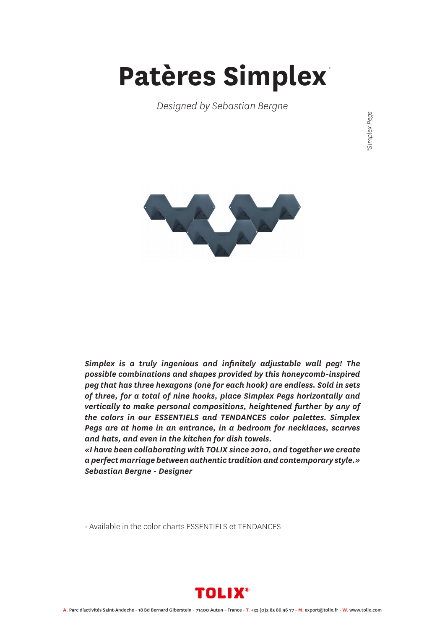## **Patères Simplex** *\**

*Designed by Sebastian Bergne*

Simplex Pegs *\*Simplex Pegs*



*Simplex is a truly ingenious and infinitely adjustable wall peg! The possible combinations and shapes provided by this honeycomb-inspired peg that has three hexagons (one for each hook) are endless. Sold in sets of three, for a total of nine hooks, place Simplex Pegs horizontally and vertically to make personal compositions, heightened further by any of the colors in our ESSENTIELS and TENDANCES color palettes. Simplex Pegs are at home in an entrance, in a bedroom for necklaces, scarves and hats, and even in the kitchen for dish towels.*

*«I have been collaborating with TOLIX since 2010, and together we create a perfect marriage between authentic tradition and contemporary style.» Sebastian Bergne - Designer*

• Available in the color charts ESSENTIELS et TENDANCES